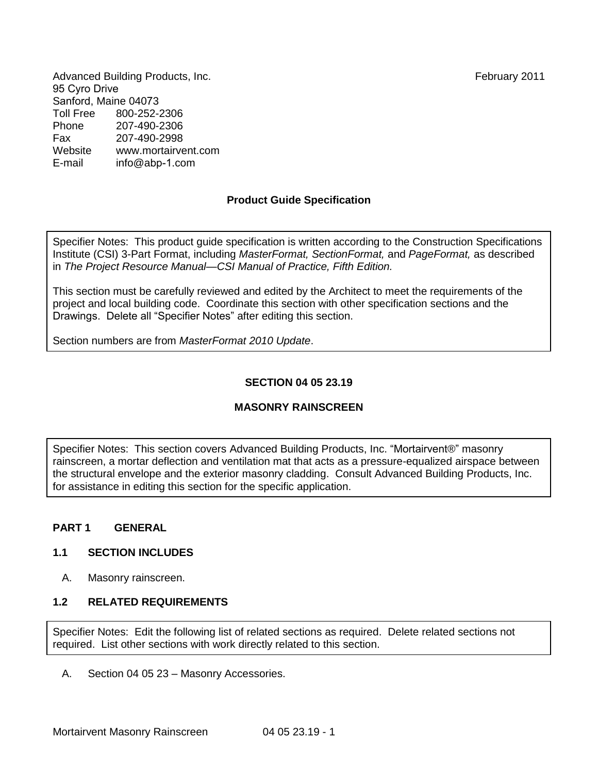Advanced Building Products, Inc. **February 2011** 95 Cyro Drive Sanford, Maine 04073<br>Toll Free 800-252-2 Toll Free 800-252-2306 Phone 207-490-2306 Fax 207-490-2998 Website E-mail [www.mortairvent.com](http://www.mortairvent.com/)  info@abp-1[.com](mailto:bbb@aaaa.com) 

# **Product Guide Specification**

Specifier Notes: This product guide specification is written according to the Construction Specifications Institute (CSI) 3-Part Format, including *MasterFormat, SectionFormat,* and *PageFormat,* as described in *The Project Resource Manual—CSI Manual of Practice, Fifth Edition.* 

This section must be carefully reviewed and edited by the Architect to meet the requirements of the project and local building code. Coordinate this section with other specification sections and the Drawings. Delete all "Specifier Notes" after editing this section.

Section numbers are from *MasterFormat 2010 Update*.

# **SECTION 04 05 23.19**

# **MASONRY RAINSCREEN**

Specifier Notes: This section covers Advanced Building Products, Inc. "Mortairvent®" masonry rainscreen, a mortar deflection and ventilation mat that acts as a pressure-equalized airspace between the structural envelope and the exterior masonry cladding. Consult Advanced Building Products, Inc. for assistance in editing this section for the specific application.

# **PART 1 GENERAL**

## **1.1 SECTION INCLUDES**

A. Masonry rainscreen.

# **1.2 RELATED REQUIREMENTS**

Specifier Notes: Edit the following list of related sections as required. Delete related sections not required. List other sections with work directly related to this section.

A. Section 04 05 23 – Masonry Accessories.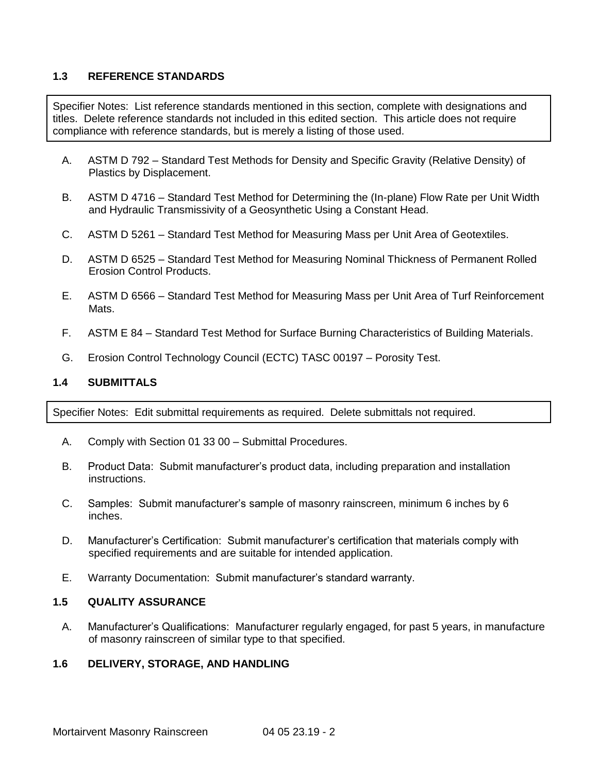## **1.3 REFERENCE STANDARDS**

Specifier Notes: List reference standards mentioned in this section, complete with designations and titles. Delete reference standards not included in this edited section. This article does not require compliance with reference standards, but is merely a listing of those used.

- A. ASTM D 792 Standard Test Methods for Density and Specific Gravity (Relative Density) of Plastics by Displacement.
- B. ASTM D 4716 Standard Test Method for Determining the (In-plane) Flow Rate per Unit Width and Hydraulic Transmissivity of a Geosynthetic Using a Constant Head.
- C. ASTM D 5261 Standard Test Method for Measuring Mass per Unit Area of Geotextiles.
- D. ASTM D 6525 Standard Test Method for Measuring Nominal Thickness of Permanent Rolled Erosion Control Products.
- E. ASTM D 6566 Standard Test Method for Measuring Mass per Unit Area of Turf Reinforcement Mats.
- F. ASTM E 84 Standard Test Method for Surface Burning Characteristics of Building Materials.
- G. Erosion Control Technology Council (ECTC) TASC 00197 Porosity Test.

# **1.4 SUBMITTALS**

Specifier Notes: Edit submittal requirements as required. Delete submittals not required.

- A. Comply with Section 01 33 00 Submittal Procedures.
- B. Product Data: Submit manufacturer's product data, including preparation and installation instructions.
- C. Samples: Submit manufacturer's sample of masonry rainscreen, minimum 6 inches by 6 inches.
- D. Manufacturer's Certification: Submit manufacturer's certification that materials comply with specified requirements and are suitable for intended application.
- E. Warranty Documentation: Submit manufacturer's standard warranty.

### **1.5 QUALITY ASSURANCE**

A. Manufacturer's Qualifications: Manufacturer regularly engaged, for past 5 years, in manufacture of masonry rainscreen of similar type to that specified.

#### **1.6 DELIVERY, STORAGE, AND HANDLING**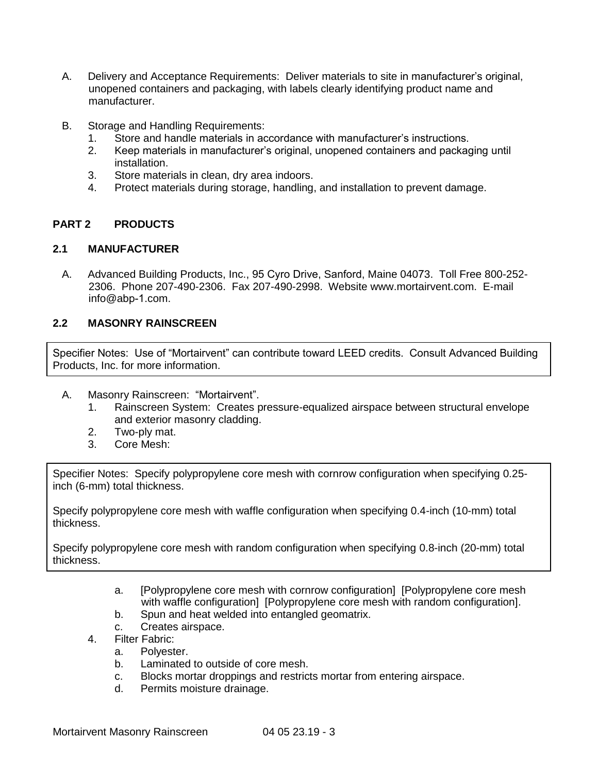- A. Delivery and Acceptance Requirements: Deliver materials to site in manufacturer's original, unopened containers and packaging, with labels clearly identifying product name and manufacturer.
- B. Storage and Handling Requirements:
	- 1. Store and handle materials in accordance with manufacturer's instructions.
	- 2. Keep materials in manufacturer's original, unopened containers and packaging until installation.
	- 3. Store materials in clean, dry area indoors.
	- 4. Protect materials during storage, handling, and installation to prevent damage.

#### **PART 2 PRODUCTS**

#### **2.1 MANUFACTURER**

A. Advanced Building Products, Inc., 95 Cyro Drive, Sanford, Maine 04073. Toll Free 800-252- 2306. Phone 207-490-2306. Fax 207-490-2998. Websit[e www.mortairvent.com.](http://www.mortairvent.com/) E-mail info@abp-1[.com.](mailto:bbb@aaaa.com)

#### **2.2 MASONRY RAINSCREEN**

Specifier Notes: Use of "Mortairvent" can contribute toward LEED credits. Consult Advanced Building Products, Inc. for more information.

- A. Masonry Rainscreen: "Mortairvent".
	- 1. Rainscreen System: Creates pressure-equalized airspace between structural envelope and exterior masonry cladding.
	- 2. Two-ply mat.
	- 3. Core Mesh:

Specifier Notes: Specify polypropylene core mesh with cornrow configuration when specifying 0.25 inch (6-mm) total thickness.

Specify polypropylene core mesh with waffle configuration when specifying 0.4-inch (10-mm) total thickness.

Specify polypropylene core mesh with random configuration when specifying 0.8-inch (20-mm) total thickness.

- a. [Polypropylene core mesh with cornrow configuration] [Polypropylene core mesh with waffle configuration] [Polypropylene core mesh with random configuration].
- b. Spun and heat welded into entangled geomatrix.
- c. Creates airspace.
- 4. Filter Fabric:
	- a. Polyester.
	- b. Laminated to outside of core mesh.
	- c. Blocks mortar droppings and restricts mortar from entering airspace.
	- d. Permits moisture drainage.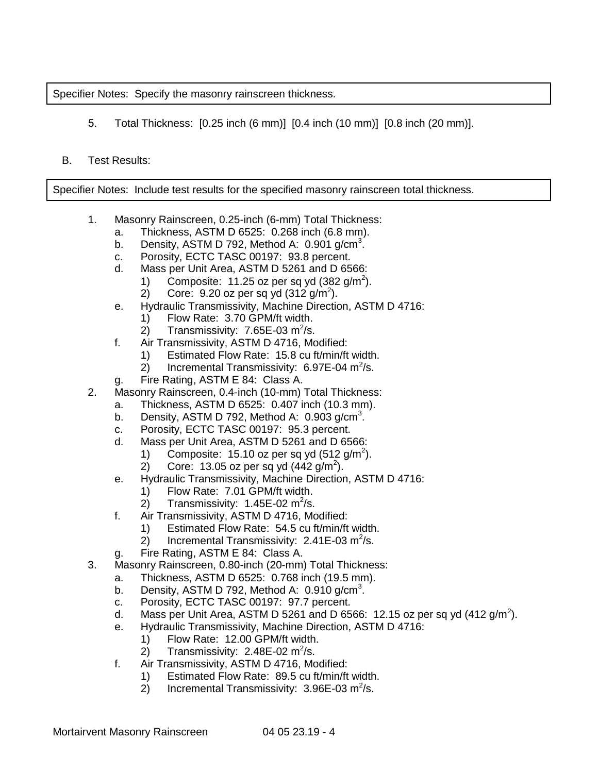Specifier Notes: Specify the masonry rainscreen thickness.

5. Total Thickness: [0.25 inch (6 mm)] [0.4 inch (10 mm)] [0.8 inch (20 mm)].

## B. Test Results:

Specifier Notes: Include test results for the specified masonry rainscreen total thickness.

- 1. Masonry Rainscreen, 0.25-inch (6-mm) Total Thickness:
	- a. Thickness, ASTM D 6525: 0.268 inch (6.8 mm).
	- b. Density, ASTM D 792, Method A:  $0.901$  g/cm $^3$ .
	- c. Porosity, ECTC TASC 00197: 93.8 percent.
	- d. Mass per Unit Area, ASTM D 5261 and D 6566:
		- 1) Composite: 11.25 oz per sq yd  $(382 \text{ g/m}^2)$ .
		- 2) Core: 9.20 oz per sq yd (312 g/m<sup>2</sup>).
	- e. Hydraulic Transmissivity, Machine Direction, ASTM D 4716:
		- 1) Flow Rate: 3.70 GPM/ft width.
		- $2)$  Transmissivity: 7.65E-03 m<sup>2</sup>/s.
	- f. Air Transmissivity, ASTM D 4716, Modified:
		- 1) Estimated Flow Rate: 15.8 cu ft/min/ft width.
		- 2) Incremental Transmissivity:  $6.97E-04$  m<sup>2</sup>/s.
	- g. Fire Rating, ASTM E 84: Class A.
- 2. Masonry Rainscreen, 0.4-inch (10-mm) Total Thickness:
	- a. Thickness, ASTM D 6525: 0.407 inch (10.3 mm).
	- b. Density, ASTM D 792, Method A:  $0.903$  g/cm $^3$ .
	- c. Porosity, ECTC TASC 00197: 95.3 percent.
	- d. Mass per Unit Area, ASTM D 5261 and D 6566:
		- 1) Composite: 15.10 oz per sq yd  $(512 \text{ g/m}^2)$ .
		- 2) Core: 13.05 oz per sq yd  $(442 \text{ g/m}^2)$ .
	- e. Hydraulic Transmissivity, Machine Direction, ASTM D 4716:
		- 1) Flow Rate: 7.01 GPM/ft width.
		- 2) Transmissivity: 1.45E-02 m<sup>2</sup>/s.
	- f. Air Transmissivity, ASTM D 4716, Modified:
		- 1) Estimated Flow Rate: 54.5 cu ft/min/ft width.
		- 2) Incremental Transmissivity:  $2.41E-03$  m<sup>2</sup>/s.
	- g. Fire Rating, ASTM E 84: Class A.
- 3. Masonry Rainscreen, 0.80-inch (20-mm) Total Thickness:
	- a. Thickness, ASTM D 6525: 0.768 inch (19.5 mm).
	- b. Density, ASTM D 792, Method A:  $0.910$  g/cm<sup>3</sup>.
	- c. Porosity, ECTC TASC 00197: 97.7 percent.
	- d. Mass per Unit Area, ASTM D 5261 and D 6566: 12.15 oz per sq yd (412 g/m<sup>2</sup>).
	- e. Hydraulic Transmissivity, Machine Direction, ASTM D 4716:
		- 1) Flow Rate: 12.00 GPM/ft width.
			- 2) Transmissivity: 2.48E-02 m<sup>2</sup>/s.
	- f. Air Transmissivity, ASTM D 4716, Modified:
		- 1) Estimated Flow Rate: 89.5 cu ft/min/ft width.
		- 2) Incremental Transmissivity:  $3.96E-03$  m<sup>2</sup>/s.